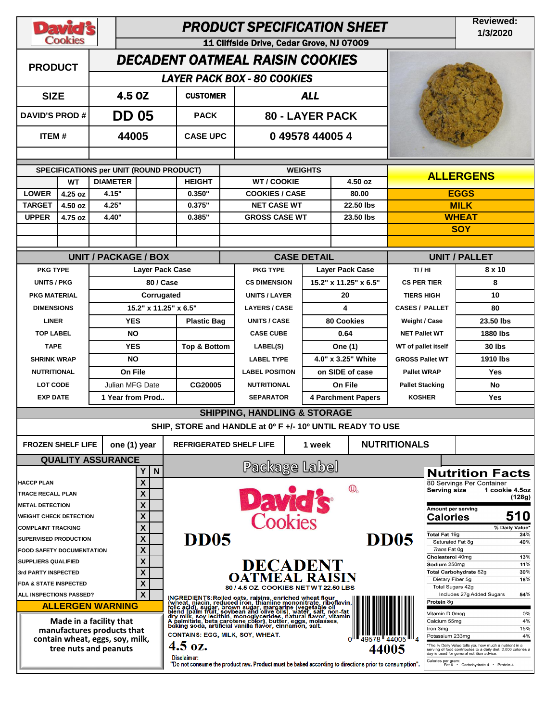| <b>David's</b><br><b>Cookies</b>                        |           |                                                       |                                     | <b>Reviewed:</b><br>1/3/2020                                                                                                                                                                                                           |                                                                                                       |                        |                    |                                                 |                                              |                                                |                                                                                                                                                                     |  |
|---------------------------------------------------------|-----------|-------------------------------------------------------|-------------------------------------|----------------------------------------------------------------------------------------------------------------------------------------------------------------------------------------------------------------------------------------|-------------------------------------------------------------------------------------------------------|------------------------|--------------------|-------------------------------------------------|----------------------------------------------|------------------------------------------------|---------------------------------------------------------------------------------------------------------------------------------------------------------------------|--|
| <b>PRODUCT</b>                                          |           |                                                       |                                     | 11 Cliffside Drive, Cedar Grove, NJ 07009<br><b>DECADENT OATMEAL RAISIN COOKIES</b>                                                                                                                                                    |                                                                                                       |                        |                    |                                                 |                                              |                                                |                                                                                                                                                                     |  |
|                                                         |           |                                                       |                                     |                                                                                                                                                                                                                                        | <b>LAYER PACK BOX - 80 COOKIES</b>                                                                    |                        |                    |                                                 |                                              |                                                |                                                                                                                                                                     |  |
| <b>SIZE</b>                                             |           | 4.5 OZ                                                |                                     | <b>ALL</b><br><b>CUSTOMER</b>                                                                                                                                                                                                          |                                                                                                       |                        |                    |                                                 |                                              |                                                |                                                                                                                                                                     |  |
| <b>DAVID'S PROD#</b>                                    |           | <b>DD 05</b>                                          |                                     | <b>PACK</b>                                                                                                                                                                                                                            |                                                                                                       | <b>80 - LAYER PACK</b> |                    |                                                 |                                              |                                                |                                                                                                                                                                     |  |
|                                                         | ITEM#     |                                                       | 44005                               | <b>CASE UPC</b>                                                                                                                                                                                                                        |                                                                                                       | 049578440054           |                    |                                                 |                                              |                                                |                                                                                                                                                                     |  |
|                                                         |           | SPECIFICATIONS per UNIT (ROUND PRODUCT)               |                                     | <b>WEIGHTS</b>                                                                                                                                                                                                                         |                                                                                                       |                        |                    |                                                 |                                              |                                                |                                                                                                                                                                     |  |
|                                                         | <b>WT</b> | <b>DIAMETER</b>                                       |                                     | <b>WT/COOKIE</b><br><b>HEIGHT</b><br>4.50 oz                                                                                                                                                                                           |                                                                                                       |                        |                    |                                                 |                                              |                                                | <b>ALLERGENS</b>                                                                                                                                                    |  |
| <b>LOWER</b>                                            | 4.25 oz   | 4.15"                                                 |                                     | 0.350"                                                                                                                                                                                                                                 | <b>COOKIES / CASE</b>                                                                                 |                        | 80.00              |                                                 | <b>EGGS</b>                                  |                                                |                                                                                                                                                                     |  |
| <b>TARGET</b>                                           | 4.50 oz   | 4.25"                                                 |                                     | 0.375"                                                                                                                                                                                                                                 | <b>NET CASE WT</b>                                                                                    |                        | 22.50 lbs          |                                                 | <b>MILK</b>                                  |                                                |                                                                                                                                                                     |  |
| <b>UPPER</b>                                            | 4.75 oz   | 4.40"                                                 |                                     | 0.385"                                                                                                                                                                                                                                 | <b>GROSS CASE WT</b>                                                                                  |                        |                    | 23.50 lbs                                       |                                              |                                                | <b>WHEAT</b>                                                                                                                                                        |  |
|                                                         |           |                                                       |                                     |                                                                                                                                                                                                                                        |                                                                                                       |                        |                    |                                                 |                                              |                                                | <b>SOY</b>                                                                                                                                                          |  |
|                                                         |           |                                                       |                                     |                                                                                                                                                                                                                                        |                                                                                                       |                        |                    |                                                 |                                              |                                                |                                                                                                                                                                     |  |
|                                                         |           | <b>UNIT / PACKAGE / BOX</b>                           |                                     |                                                                                                                                                                                                                                        |                                                                                                       |                        | <b>CASE DETAIL</b> |                                                 | <b>UNIT / PALLET</b>                         |                                                |                                                                                                                                                                     |  |
| <b>PKG TYPE</b><br><b>UNITS / PKG</b>                   |           |                                                       | <b>Layer Pack Case</b><br>80 / Case |                                                                                                                                                                                                                                        | <b>PKG TYPE</b><br><b>CS DIMENSION</b>                                                                |                        |                    | <b>Layer Pack Case</b><br>15.2" x 11.25" x 6.5" | TI/HI<br>CS PER TIER                         |                                                | 8 x 10<br>8                                                                                                                                                         |  |
| <b>PKG MATERIAL</b>                                     |           |                                                       |                                     |                                                                                                                                                                                                                                        |                                                                                                       |                        |                    |                                                 |                                              |                                                | 10                                                                                                                                                                  |  |
| <b>DIMENSIONS</b>                                       |           |                                                       | Corrugated<br>15.2" x 11.25" x 6.5" |                                                                                                                                                                                                                                        | <b>UNITS / LAYER</b><br><b>LAYERS / CASE</b>                                                          |                        |                    | 20<br>4                                         | <b>TIERS HIGH</b>                            |                                                | 80                                                                                                                                                                  |  |
| <b>LINER</b>                                            |           | <b>YES</b>                                            |                                     |                                                                                                                                                                                                                                        | <b>UNITS / CASE</b>                                                                                   |                        |                    | <b>80 Cookies</b>                               | <b>CASES / PALLET</b>                        |                                                | 23.50 lbs                                                                                                                                                           |  |
| <b>TOP LABEL</b>                                        |           |                                                       |                                     | <b>Plastic Bag</b>                                                                                                                                                                                                                     | <b>CASE CUBE</b>                                                                                      |                        |                    | 0.64                                            | <b>Weight / Case</b><br><b>NET Pallet WT</b> |                                                | 1880 lbs                                                                                                                                                            |  |
| <b>TAPE</b>                                             |           |                                                       | <b>NO</b>                           |                                                                                                                                                                                                                                        |                                                                                                       |                        | <b>One (1)</b>     |                                                 | WT of pallet itself                          |                                                |                                                                                                                                                                     |  |
| <b>SHRINK WRAP</b>                                      |           |                                                       | <b>YES</b>                          |                                                                                                                                                                                                                                        | <b>Top &amp; Bottom</b><br>LABEL(S)<br><b>LABEL TYPE</b>                                              |                        |                    | 4.0" x 3.25" White                              |                                              |                                                | 30 lbs<br>1910 lbs                                                                                                                                                  |  |
| <b>NUTRITIONAL</b>                                      |           |                                                       | <b>NO</b><br>On File                |                                                                                                                                                                                                                                        | <b>LABEL POSITION</b>                                                                                 |                        |                    | on SIDE of case                                 | <b>GROSS Pallet WT</b><br><b>Pallet WRAP</b> |                                                | <b>Yes</b>                                                                                                                                                          |  |
| <b>LOT CODE</b>                                         |           |                                                       | Julian MFG Date                     |                                                                                                                                                                                                                                        |                                                                                                       | <b>NUTRITIONAL</b>     |                    | On File                                         | <b>Pallet Stacking</b>                       |                                                | <b>No</b>                                                                                                                                                           |  |
| <b>EXP DATE</b>                                         |           |                                                       | 1 Year from Prod                    |                                                                                                                                                                                                                                        |                                                                                                       | <b>SEPARATOR</b>       |                    | <b>4 Parchment Papers</b>                       | <b>KOSHER</b>                                |                                                | Yes                                                                                                                                                                 |  |
|                                                         |           |                                                       |                                     |                                                                                                                                                                                                                                        | <b>SHIPPING, HANDLING &amp; STORAGE</b>                                                               |                        |                    |                                                 |                                              |                                                |                                                                                                                                                                     |  |
|                                                         |           |                                                       |                                     |                                                                                                                                                                                                                                        | SHIP, STORE and HANDLE at 0° F +/- 10° UNTIL READY TO USE                                             |                        |                    |                                                 |                                              |                                                |                                                                                                                                                                     |  |
| <b>FROZEN SHELF LIFE</b>                                |           | one (1) year                                          |                                     | <b>REFRIGERATED SHELF LIFE</b><br>1 week                                                                                                                                                                                               |                                                                                                       |                        |                    |                                                 | <b>NUTRITIONALS</b>                          |                                                |                                                                                                                                                                     |  |
|                                                         |           | <b>QUALITY ASSURANCE</b>                              |                                     |                                                                                                                                                                                                                                        |                                                                                                       |                        |                    |                                                 |                                              |                                                |                                                                                                                                                                     |  |
|                                                         |           |                                                       | N<br>Y                              |                                                                                                                                                                                                                                        | Package Label                                                                                         |                        |                    |                                                 |                                              |                                                | <b>Nutrition Facts</b>                                                                                                                                              |  |
| <b>HACCP PLAN</b>                                       |           |                                                       | X                                   |                                                                                                                                                                                                                                        |                                                                                                       |                        |                    | $\circled{0}$                                   |                                              | Serving size                                   | 80 Servings Per Container<br>1 cookie 4.5oz                                                                                                                         |  |
| TRACE RECALL PLAN                                       |           |                                                       | X                                   |                                                                                                                                                                                                                                        | David's                                                                                               |                        |                    |                                                 |                                              |                                                | (128g)                                                                                                                                                              |  |
| <b>METAL DETECTION</b><br><b>WEIGHT CHECK DETECTION</b> |           |                                                       | X<br>X                              |                                                                                                                                                                                                                                        |                                                                                                       |                        |                    |                                                 |                                              | Amount per serving<br><b>Calories</b>          | 510                                                                                                                                                                 |  |
| <b>COMPLAINT TRACKING</b>                               |           |                                                       | X                                   |                                                                                                                                                                                                                                        |                                                                                                       |                        |                    |                                                 |                                              |                                                | % Daily Value*                                                                                                                                                      |  |
| <b>SUPERVISED PRODUCTION</b>                            |           |                                                       | X                                   | <b>DD05</b><br><b>DD05</b>                                                                                                                                                                                                             |                                                                                                       |                        |                    |                                                 |                                              | Total Fat 19g                                  | 24%<br>40%                                                                                                                                                          |  |
| <b>FOOD SAFETY DOCUMENTATION</b>                        |           |                                                       | X                                   |                                                                                                                                                                                                                                        |                                                                                                       |                        |                    |                                                 |                                              | Saturated Fat 8g<br>Trans Fat 0g               |                                                                                                                                                                     |  |
| <b>SUPPLIERS QUALIFIED</b>                              |           |                                                       | X                                   | <b>DECADENT</b>                                                                                                                                                                                                                        |                                                                                                       |                        |                    |                                                 |                                              | Cholesterol 40mg<br>13%<br>Sodium 250mg<br>11% |                                                                                                                                                                     |  |
| 3rd PARTY INSPECTED                                     |           |                                                       | X                                   | <b>OATMEAL RAISIN</b>                                                                                                                                                                                                                  |                                                                                                       |                        |                    |                                                 |                                              | Dietary Fiber 5g                               | Total Carbohydrate 82g<br>30%<br>18%                                                                                                                                |  |
| <b>FDA &amp; STATE INSPECTED</b>                        |           |                                                       | X                                   | 80 / 4.5 OZ. COOKIES NET WT 22.50 LBS                                                                                                                                                                                                  |                                                                                                       |                        |                    |                                                 |                                              | Total Sugars 42g                               |                                                                                                                                                                     |  |
| ALL INSPECTIONS PASSED?                                 |           | <b>ALLERGEN WARNING</b>                               | X                                   |                                                                                                                                                                                                                                        |                                                                                                       |                        |                    |                                                 |                                              | Protein 8g                                     | Includes 27g Added Sugars<br>54%                                                                                                                                    |  |
|                                                         |           |                                                       |                                     | INGREDIENTS: Rolled oats, raisins, enriched wheat flour<br>(wheat, niacin, reduced iron, thiamine mononitrate, riboflavin,<br>folic acid), sugar, brown sugar, margarine (vegetable oil<br>olend ipalm fruit, soybean and olive oils), |                                                                                                       |                        |                    |                                                 |                                              | Vitamin D 0mcg                                 | 0%                                                                                                                                                                  |  |
|                                                         |           | Made in a facility that<br>manufactures products that |                                     |                                                                                                                                                                                                                                        |                                                                                                       |                        |                    |                                                 |                                              | Calcium 55mg<br>Iron 3mg                       | 4%<br>15%                                                                                                                                                           |  |
|                                                         |           | contain wheat, eggs, soy, milk,                       |                                     | CONTAINS: EGG, MILK, SOY, WHEAT.                                                                                                                                                                                                       |                                                                                                       |                        |                    |                                                 |                                              | Potassium 233mg                                | 4%                                                                                                                                                                  |  |
|                                                         |           | tree nuts and peanuts                                 |                                     | $4.5 \text{ oz.}$<br>44005<br>Disclaimer:                                                                                                                                                                                              |                                                                                                       |                        |                    |                                                 |                                              |                                                | *The % Daily Value tells you how much a nutrient in a<br>serving of food contributes to a daily diet. 2,000 calories a<br>day is used for general nutrition advice. |  |
|                                                         |           |                                                       |                                     |                                                                                                                                                                                                                                        | "Do not consume the product raw. Product must be baked according to directions prior to consumption". |                        |                    |                                                 |                                              | Calories per gram:                             | Fat 9 · Carbohydrate 4 · Protein 4                                                                                                                                  |  |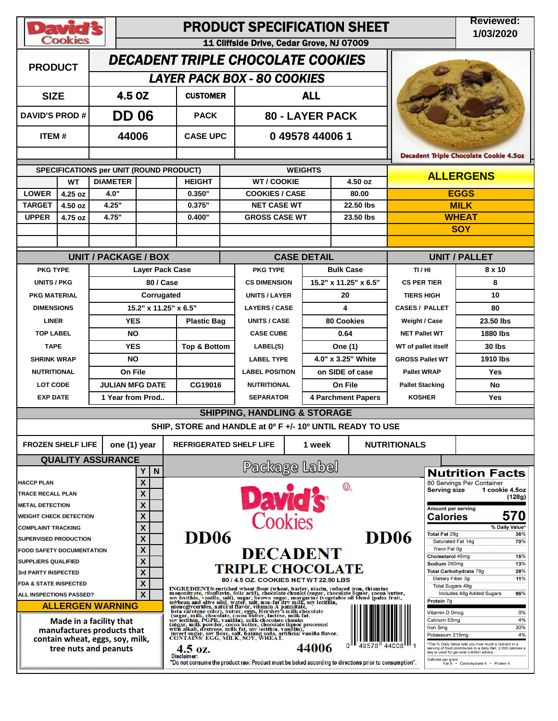| <b>David's</b><br><b>Cookies</b>                                                                                  |                    |                                         |                        | <b>PRODUCT SPECIFICATION SHEET</b>                                                                                                                                                                                                                                                                                                                                                                                                                                           | <b>Reviewed:</b><br>1/03/2020                                                                         |                              |                                                      |                             |                                                                                                       |  |
|-------------------------------------------------------------------------------------------------------------------|--------------------|-----------------------------------------|------------------------|------------------------------------------------------------------------------------------------------------------------------------------------------------------------------------------------------------------------------------------------------------------------------------------------------------------------------------------------------------------------------------------------------------------------------------------------------------------------------|-------------------------------------------------------------------------------------------------------|------------------------------|------------------------------------------------------|-----------------------------|-------------------------------------------------------------------------------------------------------|--|
|                                                                                                                   |                    |                                         |                        |                                                                                                                                                                                                                                                                                                                                                                                                                                                                              | 11 Cliffside Drive, Cedar Grove, NJ 07009                                                             |                              |                                                      |                             |                                                                                                       |  |
| <b>PRODUCT</b>                                                                                                    |                    |                                         |                        |                                                                                                                                                                                                                                                                                                                                                                                                                                                                              | <b>DECADENT TRIPLE CHOCOLATE COOKIES</b>                                                              |                              |                                                      |                             |                                                                                                       |  |
|                                                                                                                   |                    |                                         |                        |                                                                                                                                                                                                                                                                                                                                                                                                                                                                              | <b>LAYER PACK BOX - 80 COOKIES</b>                                                                    |                              |                                                      |                             |                                                                                                       |  |
| 4.5 OZ<br><b>SIZE</b>                                                                                             |                    |                                         | <b>CUSTOMER</b>        |                                                                                                                                                                                                                                                                                                                                                                                                                                                                              | <b>ALL</b>                                                                                            |                              |                                                      |                             |                                                                                                       |  |
| <b>DAVID'S PROD#</b>                                                                                              |                    | <b>DD 06</b>                            |                        | <b>PACK</b>                                                                                                                                                                                                                                                                                                                                                                                                                                                                  |                                                                                                       | <b>80 - LAYER PACK</b>       |                                                      |                             |                                                                                                       |  |
| <b>ITEM#</b>                                                                                                      |                    | 44006                                   |                        | <b>CASE UPC</b>                                                                                                                                                                                                                                                                                                                                                                                                                                                              |                                                                                                       | 049578440061                 |                                                      |                             |                                                                                                       |  |
|                                                                                                                   |                    |                                         |                        |                                                                                                                                                                                                                                                                                                                                                                                                                                                                              |                                                                                                       |                              |                                                      |                             | <b>Decadent Triple Chocolate Cookie 4.5oz</b>                                                         |  |
|                                                                                                                   |                    | SPECIFICATIONS per UNIT (ROUND PRODUCT) |                        |                                                                                                                                                                                                                                                                                                                                                                                                                                                                              | <b>WEIGHTS</b>                                                                                        | <b>ALLERGENS</b>             |                                                      |                             |                                                                                                       |  |
|                                                                                                                   | <b>WT</b>          | <b>DIAMETER</b>                         |                        | <b>HEIGHT</b>                                                                                                                                                                                                                                                                                                                                                                                                                                                                | <b>WT/COOKIE</b>                                                                                      |                              | 4.50 oz                                              |                             |                                                                                                       |  |
| <b>LOWER</b>                                                                                                      | 4.25 oz            | 4.0"                                    |                        | 0.350"                                                                                                                                                                                                                                                                                                                                                                                                                                                                       | <b>COOKIES / CASE</b>                                                                                 |                              | 80.00                                                | <b>EGGS</b>                 |                                                                                                       |  |
| <b>TARGET</b><br><b>UPPER</b>                                                                                     | 4.50 oz<br>4.75 oz | 4.25"<br>4.75"                          |                        | 0.375"<br>0.400"                                                                                                                                                                                                                                                                                                                                                                                                                                                             | <b>NET CASE WT</b><br><b>GROSS CASE WT</b>                                                            |                              | 22.50 lbs<br>23.50 lbs                               | <b>MILK</b><br><b>WHEAT</b> |                                                                                                       |  |
|                                                                                                                   |                    |                                         |                        |                                                                                                                                                                                                                                                                                                                                                                                                                                                                              |                                                                                                       |                              |                                                      |                             | <b>SOY</b>                                                                                            |  |
|                                                                                                                   |                    |                                         |                        |                                                                                                                                                                                                                                                                                                                                                                                                                                                                              |                                                                                                       |                              |                                                      |                             |                                                                                                       |  |
|                                                                                                                   |                    | <b>UNIT / PACKAGE / BOX</b>             |                        |                                                                                                                                                                                                                                                                                                                                                                                                                                                                              |                                                                                                       | <b>CASE DETAIL</b>           |                                                      | <b>UNIT / PALLET</b>        |                                                                                                       |  |
| <b>PKG TYPE</b>                                                                                                   |                    |                                         | Layer Pack Case        |                                                                                                                                                                                                                                                                                                                                                                                                                                                                              | <b>PKG TYPE</b>                                                                                       |                              | <b>Bulk Case</b>                                     | TI/HI                       | 8 x 10                                                                                                |  |
| <b>UNITS / PKG</b>                                                                                                |                    |                                         | 80 / Case              |                                                                                                                                                                                                                                                                                                                                                                                                                                                                              | <b>CS DIMENSION</b>                                                                                   |                              | 15.2" x 11.25" x 6.5"                                | <b>CS PER TIER</b>          | 8                                                                                                     |  |
| <b>PKG MATERIAL</b>                                                                                               |                    |                                         | Corrugated             |                                                                                                                                                                                                                                                                                                                                                                                                                                                                              | <b>UNITS / LAYER</b>                                                                                  |                              | 20                                                   | <b>TIERS HIGH</b>           | 10                                                                                                    |  |
| <b>DIMENSIONS</b>                                                                                                 |                    |                                         | 15.2" x 11.25" x 6.5"  |                                                                                                                                                                                                                                                                                                                                                                                                                                                                              | <b>LAYERS / CASE</b>                                                                                  |                              | 4                                                    | <b>CASES / PALLET</b>       | 80                                                                                                    |  |
| <b>LINER</b>                                                                                                      |                    |                                         | <b>YES</b>             | <b>Plastic Bag</b>                                                                                                                                                                                                                                                                                                                                                                                                                                                           | <b>UNITS / CASE</b>                                                                                   |                              | <b>80 Cookies</b>                                    | <b>Weight / Case</b>        | 23.50 lbs                                                                                             |  |
| <b>TOP LABEL</b>                                                                                                  |                    |                                         | <b>NO</b>              |                                                                                                                                                                                                                                                                                                                                                                                                                                                                              | <b>CASE CUBE</b>                                                                                      |                              | 0.64                                                 | <b>NET Pallet WT</b>        | 1880 lbs                                                                                              |  |
| <b>TAPE</b>                                                                                                       |                    |                                         | <b>YES</b>             | <b>Top &amp; Bottom</b>                                                                                                                                                                                                                                                                                                                                                                                                                                                      | LABEL(S)                                                                                              |                              | One (1)                                              | WT of pallet itself         | 30 lbs                                                                                                |  |
| <b>SHRINK WRAP</b>                                                                                                |                    |                                         | <b>NO</b>              |                                                                                                                                                                                                                                                                                                                                                                                                                                                                              | <b>LABEL TYPE</b>                                                                                     |                              | 4.0" x 3.25" White                                   | <b>GROSS Pallet WT</b>      | 1910 lbs                                                                                              |  |
|                                                                                                                   | <b>NUTRITIONAL</b> |                                         | On File                |                                                                                                                                                                                                                                                                                                                                                                                                                                                                              | <b>LABEL POSITION</b>                                                                                 |                              | on SIDE of case                                      | <b>Pallet WRAP</b>          | <b>Yes</b>                                                                                            |  |
| LOT CODE                                                                                                          |                    |                                         | <b>JULIAN MFG DATE</b> | CG19016                                                                                                                                                                                                                                                                                                                                                                                                                                                                      | <b>NUTRITIONAL</b>                                                                                    |                              | On File                                              | <b>Pallet Stacking</b>      | <b>No</b>                                                                                             |  |
| <b>EXP DATE</b>                                                                                                   |                    |                                         | 1 Year from Prod       |                                                                                                                                                                                                                                                                                                                                                                                                                                                                              | <b>SEPARATOR</b>                                                                                      |                              | <b>4 Parchment Papers</b>                            | <b>KOSHER</b>               | Yes                                                                                                   |  |
|                                                                                                                   |                    |                                         |                        |                                                                                                                                                                                                                                                                                                                                                                                                                                                                              | <b>SHIPPING, HANDLING &amp; STORAGE</b>                                                               |                              |                                                      |                             |                                                                                                       |  |
|                                                                                                                   |                    |                                         |                        |                                                                                                                                                                                                                                                                                                                                                                                                                                                                              | SHIP, STORE and HANDLE at 0° F +/- 10° UNTIL READY TO USE                                             |                              |                                                      |                             |                                                                                                       |  |
| <b>FROZEN SHELF LIFE</b>                                                                                          |                    |                                         | one (1) year           | <b>REFRIGERATED SHELF LIFE</b>                                                                                                                                                                                                                                                                                                                                                                                                                                               |                                                                                                       | 1 week                       |                                                      | <b>NUTRITIONALS</b>         |                                                                                                       |  |
|                                                                                                                   |                    | <b>QUALITY ASSURANCE</b>                |                        |                                                                                                                                                                                                                                                                                                                                                                                                                                                                              | Package Label                                                                                         |                              |                                                      |                             |                                                                                                       |  |
| <b>HACCP PLAN</b>                                                                                                 |                    |                                         | N<br>Y<br>X            |                                                                                                                                                                                                                                                                                                                                                                                                                                                                              |                                                                                                       |                              |                                                      |                             | <b>Nutrition Facts</b><br>80 Servings Per Container                                                   |  |
| <b>TRACE RECALL PLAN</b>                                                                                          |                    |                                         | X                      |                                                                                                                                                                                                                                                                                                                                                                                                                                                                              |                                                                                                       |                              |                                                      |                             | <b>Serving size</b><br>1 cookie 4.5oz                                                                 |  |
| <b>METAL DETECTION</b>                                                                                            |                    |                                         | X                      |                                                                                                                                                                                                                                                                                                                                                                                                                                                                              | <b>David's</b>                                                                                        | (128g)<br>Amount per serving |                                                      |                             |                                                                                                       |  |
| <b>WEIGHT CHECK DETECTION</b>                                                                                     |                    |                                         | X                      |                                                                                                                                                                                                                                                                                                                                                                                                                                                                              | Cookies                                                                                               |                              |                                                      |                             | 570<br><b>Calories</b>                                                                                |  |
| <b>COMPLAINT TRACKING</b>                                                                                         |                    |                                         | X                      |                                                                                                                                                                                                                                                                                                                                                                                                                                                                              |                                                                                                       |                              |                                                      |                             | % Daily Value*<br>Total Fat 28g<br>36%                                                                |  |
| SUPERVISED PRODUCTION                                                                                             |                    |                                         | X                      | DD <sub>06</sub>                                                                                                                                                                                                                                                                                                                                                                                                                                                             |                                                                                                       |                              |                                                      | <b>DD06</b>                 | Saturated Fat 14g<br>70%                                                                              |  |
| X<br><b>FOOD SAFETY DOCUMENTATION</b>                                                                             |                    |                                         |                        |                                                                                                                                                                                                                                                                                                                                                                                                                                                                              | <b>DECADENT</b>                                                                                       |                              |                                                      |                             | Trans Fat 0g<br>Cholesterol 45mg<br>15%                                                               |  |
| X<br><b>SUPPLIERS QUALIFIED</b>                                                                                   |                    |                                         |                        |                                                                                                                                                                                                                                                                                                                                                                                                                                                                              | <b>TRIPLE CHOCOLATE</b>                                                                               |                              | Sodium 290mg<br>13%<br>Total Carbohydrate 78g<br>28% |                             |                                                                                                       |  |
| X<br>3rd PARTY INSPECTED<br>X<br>FDA & STATE INSPECTED                                                            |                    |                                         |                        |                                                                                                                                                                                                                                                                                                                                                                                                                                                                              | 80 / 4.5 OZ. COOKIES NETWT 22.50 LBS                                                                  |                              | Dietary Fiber 3g<br>11%                              |                             |                                                                                                       |  |
| ALL INSPECTIONS PASSED?                                                                                           |                    |                                         | X                      |                                                                                                                                                                                                                                                                                                                                                                                                                                                                              |                                                                                                       |                              | Total Sugars 49g<br>Includes 48g Added Sugars<br>96% |                             |                                                                                                       |  |
|                                                                                                                   |                    | <b>ALLERGEN WARNING</b>                 |                        |                                                                                                                                                                                                                                                                                                                                                                                                                                                                              |                                                                                                       |                              |                                                      | Protein 7g                  |                                                                                                       |  |
| Made in a facility that<br>manufactures products that<br>contain wheat, eggs, soy, milk,<br>tree nuts and peanuts |                    |                                         |                        | INGREDIENTS: enriched wheat flour (wheat, barley, niacin, reduced iron, thiam ine monointrate, riboflavin, folic acid), chocolate chunks (sugar, chocolate liquor, cocoa butter, such monoglycerides, natural flavor, with mil<br>Vitamin D 0mcg<br>0%<br>Calcium 53mg<br>4%<br>30%<br>Iron 5mg<br>4%<br>Potassium 215mg<br>*The % Daily Value tells you how much a nutrient in a<br>o١<br>44006<br>4.5 oz.<br>serving of food contributes to a daily diet. 2,000 calories a |                                                                                                       |                              |                                                      |                             |                                                                                                       |  |
|                                                                                                                   |                    |                                         |                        | Disclaimer:                                                                                                                                                                                                                                                                                                                                                                                                                                                                  | "Do not consume the product raw. Product must be baked according to directions prior to consumption". |                              |                                                      |                             | day is used for general nutrition advice.<br>Calories per gram:<br>Fat 9 · Carbohydrate 4 · Protein 4 |  |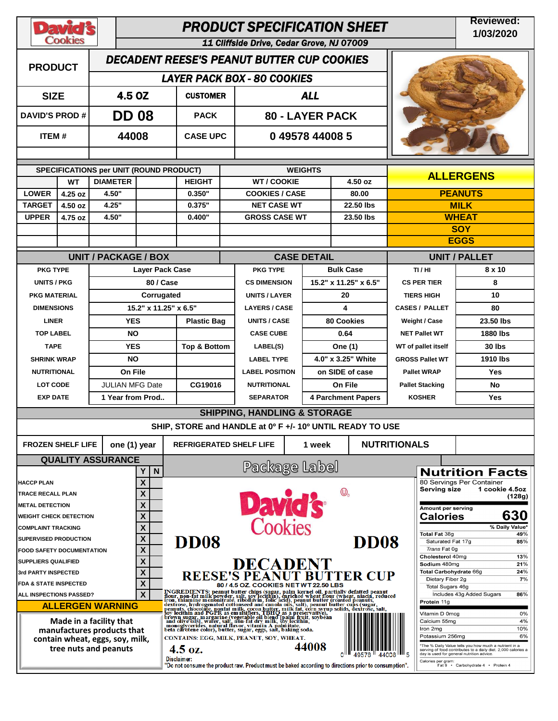| <b>David's</b><br><b>Cookies</b>                              |                       |                          | <b>PRODUCT SPECIFICATION SHEET</b>                |                                                |                                                                                                                                                                                                                                |                                                      |                                           |                                  |                                                                                                                       |  |  |
|---------------------------------------------------------------|-----------------------|--------------------------|---------------------------------------------------|------------------------------------------------|--------------------------------------------------------------------------------------------------------------------------------------------------------------------------------------------------------------------------------|------------------------------------------------------|-------------------------------------------|----------------------------------|-----------------------------------------------------------------------------------------------------------------------|--|--|
|                                                               |                       |                          |                                                   |                                                | 11 Cliffside Drive, Cedar Grove, NJ 07009                                                                                                                                                                                      |                                                      |                                           |                                  |                                                                                                                       |  |  |
| <b>PRODUCT</b>                                                |                       |                          | <b>DECADENT REESE'S PEANUT BUTTER CUP COOKIES</b> |                                                |                                                                                                                                                                                                                                |                                                      |                                           |                                  |                                                                                                                       |  |  |
|                                                               |                       |                          |                                                   |                                                | <b>LAYER PACK BOX - 80 COOKIES</b>                                                                                                                                                                                             |                                                      |                                           |                                  |                                                                                                                       |  |  |
| <b>SIZE</b>                                                   |                       |                          | 4.5 OZ                                            | <b>CUSTOMER</b>                                | <b>ALL</b>                                                                                                                                                                                                                     |                                                      |                                           |                                  |                                                                                                                       |  |  |
|                                                               | <b>DAVID'S PROD #</b> |                          | <b>DD 08</b>                                      | <b>PACK</b>                                    | <b>80 - LAYER PACK</b>                                                                                                                                                                                                         |                                                      |                                           |                                  |                                                                                                                       |  |  |
| ITEM#                                                         |                       | 44008                    |                                                   | <b>CASE UPC</b>                                | 049578440085                                                                                                                                                                                                                   |                                                      |                                           |                                  |                                                                                                                       |  |  |
|                                                               |                       |                          | SPECIFICATIONS per UNIT (ROUND PRODUCT)           |                                                | <b>WEIGHTS</b>                                                                                                                                                                                                                 |                                                      |                                           |                                  |                                                                                                                       |  |  |
|                                                               | <b>WT</b>             | <b>DIAMETER</b>          |                                                   | <b>WT / COOKIE</b><br>4.50 oz<br><b>HEIGHT</b> |                                                                                                                                                                                                                                |                                                      |                                           |                                  | <b>ALLERGENS</b>                                                                                                      |  |  |
| <b>LOWER</b>                                                  | 4.25 oz               | 4.50"                    |                                                   | 0.350"                                         | <b>COOKIES / CASE</b>                                                                                                                                                                                                          |                                                      | 80.00                                     |                                  | <b>PEANUTS</b>                                                                                                        |  |  |
| <b>TARGET</b>                                                 | 4.50 oz               | 4.25"                    |                                                   | 0.375"                                         | <b>NET CASE WT</b>                                                                                                                                                                                                             |                                                      | 22.50 lbs                                 |                                  | <b>MILK</b>                                                                                                           |  |  |
| <b>UPPER</b>                                                  | 4.75 oz               | 4.50"                    |                                                   | 0.400"                                         | <b>GROSS CASE WT</b>                                                                                                                                                                                                           |                                                      | 23.50 lbs                                 |                                  | <b>WHEAT</b>                                                                                                          |  |  |
|                                                               |                       |                          |                                                   |                                                |                                                                                                                                                                                                                                |                                                      |                                           | <b>SOY</b><br><b>EGGS</b>        |                                                                                                                       |  |  |
|                                                               |                       |                          |                                                   |                                                |                                                                                                                                                                                                                                |                                                      |                                           |                                  |                                                                                                                       |  |  |
| <b>PKG TYPE</b>                                               |                       |                          | <b>UNIT / PACKAGE / BOX</b>                       |                                                | <b>PKG TYPE</b>                                                                                                                                                                                                                | <b>CASE DETAIL</b>                                   |                                           | <b>UNIT / PALLET</b>             |                                                                                                                       |  |  |
| <b>UNITS / PKG</b>                                            |                       |                          | <b>Laver Pack Case</b><br>80 / Case               |                                                | <b>CS DIMENSION</b>                                                                                                                                                                                                            |                                                      | <b>Bulk Case</b><br>15.2" x 11.25" x 6.5" | TI/HI<br><b>CS PER TIER</b>      | 8 x 10<br>8                                                                                                           |  |  |
| <b>PKG MATERIAL</b>                                           |                       |                          | Corrugated                                        |                                                | <b>UNITS / LAYER</b>                                                                                                                                                                                                           |                                                      | 20                                        | <b>TIERS HIGH</b>                | 10                                                                                                                    |  |  |
| <b>DIMENSIONS</b>                                             |                       |                          | 15.2" x 11.25" x 6.5"                             |                                                | <b>LAYERS / CASE</b>                                                                                                                                                                                                           |                                                      | 4                                         | <b>CASES / PALLET</b>            | 80                                                                                                                    |  |  |
| <b>LINER</b>                                                  |                       |                          | <b>YES</b>                                        | <b>Plastic Bag</b>                             | <b>80 Cookies</b><br>UNITS / CASE                                                                                                                                                                                              |                                                      | <b>Weight / Case</b>                      | 23.50 lbs                        |                                                                                                                       |  |  |
| <b>TOP LABEL</b>                                              |                       |                          | <b>NO</b>                                         |                                                | <b>CASE CUBE</b>                                                                                                                                                                                                               |                                                      | 0.64                                      | <b>NET Pallet WT</b>             | 1880 lbs                                                                                                              |  |  |
|                                                               | <b>TAPE</b>           |                          | <b>YES</b>                                        | <b>Top &amp; Bottom</b>                        | LABEL(S)                                                                                                                                                                                                                       |                                                      | One (1)                                   | WT of pallet itself              | 30 lbs                                                                                                                |  |  |
| <b>SHRINK WRAP</b>                                            |                       |                          | <b>NO</b>                                         |                                                | <b>LABEL TYPE</b>                                                                                                                                                                                                              |                                                      | 4.0" x 3.25" White                        | <b>GROSS Pallet WT</b>           | 1910 lbs                                                                                                              |  |  |
| <b>NUTRITIONAL</b>                                            |                       |                          | On File                                           |                                                | <b>LABEL POSITION</b>                                                                                                                                                                                                          |                                                      | on SIDE of case                           | <b>Pallet WRAP</b>               | Yes                                                                                                                   |  |  |
| <b>LOT CODE</b>                                               |                       |                          | <b>JULIAN MFG Date</b>                            | CG19016                                        | <b>NUTRITIONAL</b>                                                                                                                                                                                                             |                                                      | On File                                   | <b>Pallet Stacking</b>           | No                                                                                                                    |  |  |
| <b>EXP DATE</b>                                               |                       |                          | 1 Year from Prod                                  |                                                | <b>SEPARATOR</b>                                                                                                                                                                                                               |                                                      | <b>4 Parchment Papers</b>                 | <b>KOSHER</b>                    | <b>Yes</b>                                                                                                            |  |  |
|                                                               |                       |                          |                                                   |                                                | <b>SHIPPING, HANDLING &amp; STORAGE</b>                                                                                                                                                                                        |                                                      |                                           |                                  |                                                                                                                       |  |  |
|                                                               |                       |                          |                                                   |                                                | SHIP, STORE and HANDLE at 0° F +/- 10° UNTIL READY TO USE                                                                                                                                                                      |                                                      |                                           |                                  |                                                                                                                       |  |  |
| <b>FROZEN SHELF LIFE</b>                                      |                       |                          | one (1) year                                      | <b>REFRIGERATED SHELF LIFE</b>                 |                                                                                                                                                                                                                                | <b>NUTRITIONALS</b>                                  |                                           |                                  |                                                                                                                       |  |  |
|                                                               |                       | <b>QUALITY ASSURANCE</b> |                                                   |                                                | Package Label                                                                                                                                                                                                                  |                                                      |                                           |                                  |                                                                                                                       |  |  |
|                                                               |                       |                          | Υ<br>N                                            |                                                |                                                                                                                                                                                                                                |                                                      |                                           |                                  | <b>Nutrition Facts</b><br>80 Servings Per Container                                                                   |  |  |
| <b>HACCP PLAN</b><br><b>TRACE RECALL PLAN</b>                 |                       |                          | X<br>X                                            |                                                |                                                                                                                                                                                                                                |                                                      | $\mathbb{O}_{\scriptscriptstyle{D}}$      | <b>Serving size</b>              | 1 cookie 4.5oz                                                                                                        |  |  |
| <b>METAL DETECTION</b>                                        |                       |                          | X                                                 |                                                | David's                                                                                                                                                                                                                        |                                                      |                                           | Amount per serving               | (128g)                                                                                                                |  |  |
| <b>WEIGHT CHECK DETECTION</b>                                 |                       |                          | X                                                 |                                                |                                                                                                                                                                                                                                |                                                      |                                           | <b>Calories</b>                  | 630                                                                                                                   |  |  |
| χ<br><b>COMPLAINT TRACKING</b>                                |                       |                          |                                                   |                                                |                                                                                                                                                                                                                                |                                                      |                                           | Total Fat 38g                    | % Daily Value*<br>49%                                                                                                 |  |  |
| X<br><b>SUPERVISED PRODUCTION</b>                             |                       |                          |                                                   | <b>DD08</b>                                    |                                                                                                                                                                                                                                |                                                      | <b>DD08</b>                               | Saturated Fat 17g                | 85%                                                                                                                   |  |  |
| X<br><b>FOOD SAFETY DOCUMENTATION</b>                         |                       |                          |                                                   |                                                |                                                                                                                                                                                                                                |                                                      |                                           | Trans Fat Og<br>Cholesterol 40mg | 13%                                                                                                                   |  |  |
| X<br><b>SUPPLIERS QUALIFIED</b><br>X<br>3rd PARTY INSPECTED   |                       |                          |                                                   |                                                | <b>DECADENT<br/>REESE'S PEANUT BUTTER CUP</b>                                                                                                                                                                                  | 21%<br>Sodium 480mg<br>Total Carbohydrate 66g<br>24% |                                           |                                  |                                                                                                                       |  |  |
| X<br><b>FDA &amp; STATE INSPECTED</b>                         |                       |                          |                                                   |                                                | 80 / 4.5 OZ. COOKIES NETWT 22.50 LBS                                                                                                                                                                                           | Dietary Fiber 2g                                     | 7%                                        |                                  |                                                                                                                       |  |  |
| X<br>ALL INSPECTIONS PASSED?                                  |                       |                          |                                                   |                                                |                                                                                                                                                                                                                                | Total Sugars 46g<br>Includes 43g Added Sugars<br>86% |                                           |                                  |                                                                                                                       |  |  |
|                                                               |                       | <b>ALLERGEN WARNING</b>  |                                                   |                                                |                                                                                                                                                                                                                                |                                                      |                                           | Protein 11g                      |                                                                                                                       |  |  |
|                                                               |                       | Made in a facility that  |                                                   |                                                | INGREDIENTS: peanut butter chips (sugar, palm kernel oil, partially defatted peanut in the contract material of the contract from the interest in a contract from the chips (sugar, palm kernel oil, partially defatted in the |                                                      |                                           | Vitamin D 0mcg<br>Calcium 55mg   | 0%<br>4%                                                                                                              |  |  |
| manufactures products that<br>contain wheat, eggs, soy, milk, |                       |                          |                                                   |                                                | CONTAINS: EGG, MILK, PEANUT, SOY, WHEAT.                                                                                                                                                                                       | 10%<br>Iron 2mg<br>6%<br>Potassium 256mg             |                                           |                                  |                                                                                                                       |  |  |
|                                                               |                       | tree nuts and peanuts    |                                                   | $4.5 \text{ oz.}$                              |                                                                                                                                                                                                                                | 44008                                                |                                           |                                  | The % Daily Value tells you how much a nutrient in a<br>serving of food contributes to a daily diet. 2,000 calories a |  |  |
|                                                               |                       |                          |                                                   | Disclaimer:                                    | "Do not consume the product raw. Product must be baked according to directions prior to consumption".                                                                                                                          |                                                      |                                           | Calories per gram:               | day is used for general nutrition advice.<br>Fat 9 · Carbohydrate 4 · Protein 4                                       |  |  |